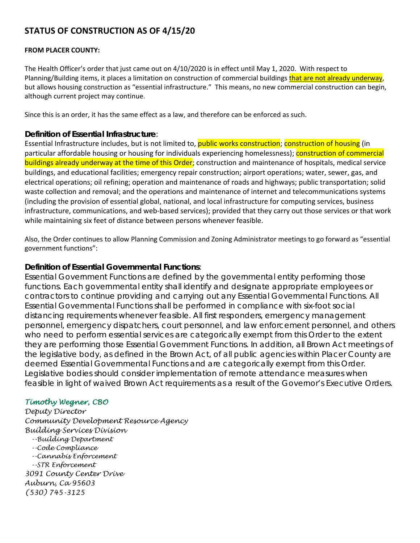# **STATUS OF CONSTRUCTION AS OF 4/15/20**

### **FROM PLACER COUNTY:**

The Health Officer's order that just came out on 4/10/2020 is in effect until May 1, 2020. With respect to Planning/Building items, it places a limitation on construction of commercial buildings that are not already underway, but allows housing construction as "essential infrastructure." This means, no new commercial construction can begin, although current project may continue.

Since this is an order, it has the same effect as a law, and therefore can be enforced as such.

# **Definition of Essential Infrastructure**:

Essential Infrastructure includes, but is not limited to, *public works construction*; *construction of housing* (in particular affordable housing or housing for individuals experiencing homelessness); construction of commercial buildings already underway at the time of this Order; construction and maintenance of hospitals, medical service buildings, and educational facilities; emergency repair construction; airport operations; water, sewer, gas, and electrical operations; oil refining; operation and maintenance of roads and highways; public transportation; solid waste collection and removal; and the operations and maintenance of internet and telecommunications systems (including the provision of essential global, national, and local infrastructure for computing services, business infrastructure, communications, and web-based services); provided that they carry out those services or that work while maintaining six feet of distance between persons whenever feasible.

Also, the Order continues to allow Planning Commission and Zoning Administrator meetings to go forward as "essential government functions":

## **Definition of Essential Governmental Functions**:

Essential Government Functions are defined by the governmental entity performing those functions. Each governmental entity shall identify and designate appropriate employees or contractors to continue providing and carrying out any Essential Governmental Functions. All Essential Governmental Functions shall be performed in compliance with six-foot social distancing requirements whenever feasible. All first responders, emergency management personnel, emergency dispatchers, court personnel, and law enforcement personnel, and others who need to perform essential services are categorically exempt from this Order to the extent they are performing those Essential Government Functions. In addition, all Brown Act meetings of the legislative body, as defined in the Brown Act, of all public agencies within Placer County are deemed Essential Governmental Functions and are categorically exempt from this Order. Legislative bodies should consider implementation of remote attendance measures when feasible in light of waived Brown Act requirements as a result of the Governor's Executive Orders.

# *Timothy Wegner, CBO*

*Deputy Director Community Development Resource Agency Building Services Division --Building Department --Code Compliance --Cannabis Enforcement --STR Enforcement 3091 County Center Drive Auburn, Ca 95603 (530) 745-3125*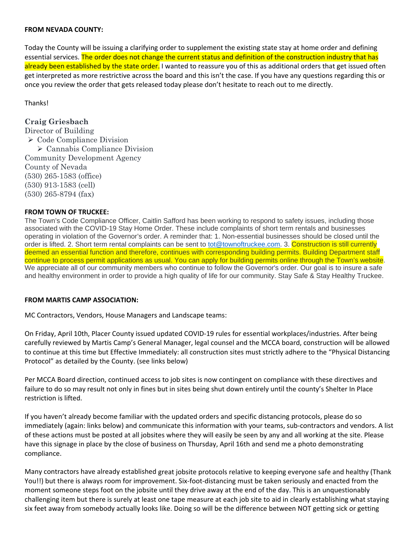#### **FROM NEVADA COUNTY:**

Today the County will be issuing a clarifying order to supplement the existing state stay at home order and defining essential services. The order does not change the current status and definition of the construction industry that has already been established by the state order. I wanted to reassure you of this as additional orders that get issued often get interpreted as more restrictive across the board and this isn't the case. If you have any questions regarding this or once you review the order that gets released today please don't hesitate to reach out to me directly.

Thanks!

# **Craig Griesbach**

Director of Building  $\triangleright$  Code Compliance Division Cannabis Compliance Division Community Development Agency County of Nevada (530) 265-1583 (office) (530) 913-1583 (cell) (530) 265-8794 (fax)

### **FROM TOWN OF TRUCKEE:**

The Town's Code Compliance Officer, Caitlin Safford has been working to respond to safety issues, including those associated with the COVID-19 Stay Home Order. These include complaints of short term rentals and businesses operating in violation of the Governor's order. A reminder that: 1. Non-essential businesses should be closed until the order is lifted. 2. Short term rental complaints can be sent to tot@townoftruckee.com. 3. Construction is still currently deemed an essential function and therefore, continues with corresponding building permits. Building Department staff continue to process permit applications as usual. You can apply for building permits online through the Town's website. We appreciate all of our community members who continue to follow the Governor's order. Our goal is to insure a safe and healthy environment in order to provide a high quality of life for our community. Stay Safe & Stay Healthy Truckee.

### **FROM MARTIS CAMP ASSOCIATION:**

MC Contractors, Vendors, House Managers and Landscape teams:

On Friday, April 10th, Placer County issued updated COVID‐19 rules for essential workplaces/industries. After being carefully reviewed by Martis Camp's General Manager, legal counsel and the MCCA board, construction will be allowed to continue at this time but Effective Immediately: all construction sites must strictly adhere to the "Physical Distancing Protocol" as detailed by the County. (see links below)

Per MCCA Board direction, continued access to job sites is now contingent on compliance with these directives and failure to do so may result not only in fines but in sites being shut down entirely until the county's Shelter In Place restriction is lifted.

If you haven't already become familiar with the updated orders and specific distancing protocols, please do so immediately (again: links below) and communicate this information with your teams, sub-contractors and vendors. A list of these actions must be posted at all jobsites where they will easily be seen by any and all working at the site. Please have this signage in place by the close of business on Thursday, April 16th and send me a photo demonstrating compliance.

Many contractors have already established great jobsite protocols relative to keeping everyone safe and healthy (Thank You!!) but there is always room for improvement. Six-foot-distancing must be taken seriously and enacted from the moment someone steps foot on the jobsite until they drive away at the end of the day. This is an unquestionably challenging item but there is surely at least one tape measure at each job site to aid in clearly establishing what staying six feet away from somebody actually looks like. Doing so will be the difference between NOT getting sick or getting